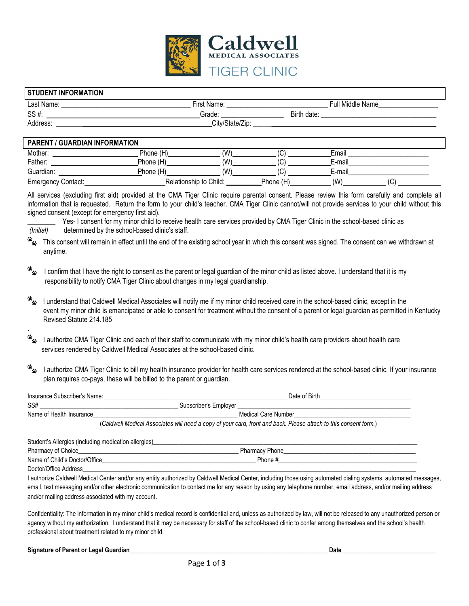

|                                                                                                                                                                                                                                                                                                                                                                                                                                                                                                                                                                                                                                                                                                                           | <b>STUDENT INFORMATION</b>                                                                                                                                                                                                                                                                                                                                                                                                                                                                                                                             |                                                                                                                                                                                                                             |  |  |  |     |  |
|---------------------------------------------------------------------------------------------------------------------------------------------------------------------------------------------------------------------------------------------------------------------------------------------------------------------------------------------------------------------------------------------------------------------------------------------------------------------------------------------------------------------------------------------------------------------------------------------------------------------------------------------------------------------------------------------------------------------------|--------------------------------------------------------------------------------------------------------------------------------------------------------------------------------------------------------------------------------------------------------------------------------------------------------------------------------------------------------------------------------------------------------------------------------------------------------------------------------------------------------------------------------------------------------|-----------------------------------------------------------------------------------------------------------------------------------------------------------------------------------------------------------------------------|--|--|--|-----|--|
|                                                                                                                                                                                                                                                                                                                                                                                                                                                                                                                                                                                                                                                                                                                           |                                                                                                                                                                                                                                                                                                                                                                                                                                                                                                                                                        |                                                                                                                                                                                                                             |  |  |  |     |  |
|                                                                                                                                                                                                                                                                                                                                                                                                                                                                                                                                                                                                                                                                                                                           |                                                                                                                                                                                                                                                                                                                                                                                                                                                                                                                                                        |                                                                                                                                                                                                                             |  |  |  |     |  |
|                                                                                                                                                                                                                                                                                                                                                                                                                                                                                                                                                                                                                                                                                                                           |                                                                                                                                                                                                                                                                                                                                                                                                                                                                                                                                                        |                                                                                                                                                                                                                             |  |  |  |     |  |
|                                                                                                                                                                                                                                                                                                                                                                                                                                                                                                                                                                                                                                                                                                                           |                                                                                                                                                                                                                                                                                                                                                                                                                                                                                                                                                        |                                                                                                                                                                                                                             |  |  |  |     |  |
|                                                                                                                                                                                                                                                                                                                                                                                                                                                                                                                                                                                                                                                                                                                           | <b>PARENT / GUARDIAN INFORMATION</b>                                                                                                                                                                                                                                                                                                                                                                                                                                                                                                                   |                                                                                                                                                                                                                             |  |  |  |     |  |
|                                                                                                                                                                                                                                                                                                                                                                                                                                                                                                                                                                                                                                                                                                                           |                                                                                                                                                                                                                                                                                                                                                                                                                                                                                                                                                        |                                                                                                                                                                                                                             |  |  |  |     |  |
|                                                                                                                                                                                                                                                                                                                                                                                                                                                                                                                                                                                                                                                                                                                           |                                                                                                                                                                                                                                                                                                                                                                                                                                                                                                                                                        |                                                                                                                                                                                                                             |  |  |  |     |  |
|                                                                                                                                                                                                                                                                                                                                                                                                                                                                                                                                                                                                                                                                                                                           |                                                                                                                                                                                                                                                                                                                                                                                                                                                                                                                                                        |                                                                                                                                                                                                                             |  |  |  |     |  |
|                                                                                                                                                                                                                                                                                                                                                                                                                                                                                                                                                                                                                                                                                                                           |                                                                                                                                                                                                                                                                                                                                                                                                                                                                                                                                                        |                                                                                                                                                                                                                             |  |  |  | (C) |  |
| All services (excluding first aid) provided at the CMA Tiger Clinic require parental consent. Please review this form carefully and complete all<br>information that is requested. Return the form to your child's teacher. CMA Tiger Clinic cannot/will not provide services to your child without this<br>signed consent (except for emergency first aid).<br>Yes- I consent for my minor child to receive health care services provided by CMA Tiger Clinic in the school-based clinic as<br>(Initial)<br>determined by the school-based clinic's staff.<br>List consent will remain in effect until the end of the existing school year in which this consent was signed. The consent can we withdrawn at<br>anytime. |                                                                                                                                                                                                                                                                                                                                                                                                                                                                                                                                                        |                                                                                                                                                                                                                             |  |  |  |     |  |
| $\ddot{\bullet}_\omega$<br>$\mathbf{z}_k$                                                                                                                                                                                                                                                                                                                                                                                                                                                                                                                                                                                                                                                                                 | I confirm that I have the right to consent as the parent or legal guardian of the minor child as listed above. I understand that it is my<br>responsibility to notify CMA Tiger Clinic about changes in my legal guardianship.<br>I understand that Caldwell Medical Associates will notify me if my minor child received care in the school-based clinic, except in the<br>event my minor child is emancipated or able to consent for treatment without the consent of a parent or legal guardian as permitted in Kentucky<br>Revised Statute 214.185 |                                                                                                                                                                                                                             |  |  |  |     |  |
| $\mathbf{z}_x$<br>I authorize CMA Tiger Clinic and each of their staff to communicate with my minor child's health care providers about health care<br>services rendered by Caldwell Medical Associates at the school-based clinic.                                                                                                                                                                                                                                                                                                                                                                                                                                                                                       |                                                                                                                                                                                                                                                                                                                                                                                                                                                                                                                                                        |                                                                                                                                                                                                                             |  |  |  |     |  |
| $\mathbf{z}_k$                                                                                                                                                                                                                                                                                                                                                                                                                                                                                                                                                                                                                                                                                                            |                                                                                                                                                                                                                                                                                                                                                                                                                                                                                                                                                        | I authorize CMA Tiger Clinic to bill my health insurance provider for health care services rendered at the school-based clinic. If your insurance<br>plan requires co-pays, these will be billed to the parent or guardian. |  |  |  |     |  |
|                                                                                                                                                                                                                                                                                                                                                                                                                                                                                                                                                                                                                                                                                                                           |                                                                                                                                                                                                                                                                                                                                                                                                                                                                                                                                                        |                                                                                                                                                                                                                             |  |  |  |     |  |
| SS#                                                                                                                                                                                                                                                                                                                                                                                                                                                                                                                                                                                                                                                                                                                       |                                                                                                                                                                                                                                                                                                                                                                                                                                                                                                                                                        |                                                                                                                                                                                                                             |  |  |  |     |  |
|                                                                                                                                                                                                                                                                                                                                                                                                                                                                                                                                                                                                                                                                                                                           | Name of Health Insurance                                                                                                                                                                                                                                                                                                                                                                                                                                                                                                                               |                                                                                                                                                                                                                             |  |  |  |     |  |
|                                                                                                                                                                                                                                                                                                                                                                                                                                                                                                                                                                                                                                                                                                                           |                                                                                                                                                                                                                                                                                                                                                                                                                                                                                                                                                        | (Caldwell Medical Associates will need a copy of your card, front and back. Please attach to this consent form.)                                                                                                            |  |  |  |     |  |
|                                                                                                                                                                                                                                                                                                                                                                                                                                                                                                                                                                                                                                                                                                                           |                                                                                                                                                                                                                                                                                                                                                                                                                                                                                                                                                        |                                                                                                                                                                                                                             |  |  |  |     |  |
| Student's Allergies (including medication allergies)____________________________                                                                                                                                                                                                                                                                                                                                                                                                                                                                                                                                                                                                                                          |                                                                                                                                                                                                                                                                                                                                                                                                                                                                                                                                                        |                                                                                                                                                                                                                             |  |  |  |     |  |
|                                                                                                                                                                                                                                                                                                                                                                                                                                                                                                                                                                                                                                                                                                                           |                                                                                                                                                                                                                                                                                                                                                                                                                                                                                                                                                        |                                                                                                                                                                                                                             |  |  |  |     |  |
|                                                                                                                                                                                                                                                                                                                                                                                                                                                                                                                                                                                                                                                                                                                           |                                                                                                                                                                                                                                                                                                                                                                                                                                                                                                                                                        |                                                                                                                                                                                                                             |  |  |  |     |  |
| Doctor/Office Address                                                                                                                                                                                                                                                                                                                                                                                                                                                                                                                                                                                                                                                                                                     |                                                                                                                                                                                                                                                                                                                                                                                                                                                                                                                                                        |                                                                                                                                                                                                                             |  |  |  |     |  |
| I authorize Caldwell Medical Center and/or any entity authorized by Caldwell Medical Center, including those using automated dialing systems, automated messages,<br>email, text messaging and/or other electronic communication to contact me for any reason by using any telephone number, email address, and/or mailing address                                                                                                                                                                                                                                                                                                                                                                                        |                                                                                                                                                                                                                                                                                                                                                                                                                                                                                                                                                        |                                                                                                                                                                                                                             |  |  |  |     |  |
|                                                                                                                                                                                                                                                                                                                                                                                                                                                                                                                                                                                                                                                                                                                           |                                                                                                                                                                                                                                                                                                                                                                                                                                                                                                                                                        |                                                                                                                                                                                                                             |  |  |  |     |  |
|                                                                                                                                                                                                                                                                                                                                                                                                                                                                                                                                                                                                                                                                                                                           | and/or mailing address associated with my account.                                                                                                                                                                                                                                                                                                                                                                                                                                                                                                     |                                                                                                                                                                                                                             |  |  |  |     |  |
|                                                                                                                                                                                                                                                                                                                                                                                                                                                                                                                                                                                                                                                                                                                           |                                                                                                                                                                                                                                                                                                                                                                                                                                                                                                                                                        | Confidentiality: The information in my minor child's medical record is confidential and unless as authorized by law will not be released to any unauthorized person or                                                      |  |  |  |     |  |

Confidentiality: The information in my minor child's medical record is confidential and, unless as authorized by law, will not be released to any unauthorized person or agency without my authorization. I understand that it may be necessary for staff of the school-based clinic to confer among themselves and the school's health professional about treatment related to my minor child.

**Signature of Parent or Legal Guardian**\_\_\_\_\_\_\_\_\_\_\_\_\_\_\_\_\_\_\_\_\_\_\_\_\_\_\_\_\_\_\_\_\_\_\_\_\_\_\_\_\_\_\_\_\_\_\_\_\_\_\_\_\_\_\_\_\_\_\_\_\_\_\_ **Date\_**\_\_\_\_\_\_\_\_\_\_\_\_\_\_\_\_\_\_\_\_\_\_\_\_\_\_\_\_\_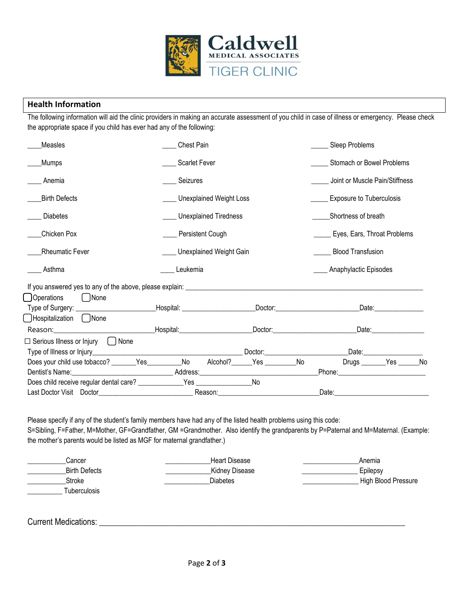

## **Health Information**

The following information will aid the clinic providers in making an accurate assessment of you child in case of illness or emergency. Please check the appropriate space if you child has ever had any of the following:

| Measles                                                                                                        |    | <b>Chest Pain</b>              |                                                                                                                                                                                                                                |                                                                                                                                                                                                                                | Sleep Problems                                                                                                                                                                                                                 |                                                                                                                                                                                                                                |    |
|----------------------------------------------------------------------------------------------------------------|----|--------------------------------|--------------------------------------------------------------------------------------------------------------------------------------------------------------------------------------------------------------------------------|--------------------------------------------------------------------------------------------------------------------------------------------------------------------------------------------------------------------------------|--------------------------------------------------------------------------------------------------------------------------------------------------------------------------------------------------------------------------------|--------------------------------------------------------------------------------------------------------------------------------------------------------------------------------------------------------------------------------|----|
| Mumps                                                                                                          |    | <b>Scarlet Fever</b>           |                                                                                                                                                                                                                                |                                                                                                                                                                                                                                | Stomach or Bowel Problems                                                                                                                                                                                                      |                                                                                                                                                                                                                                |    |
| Anemia                                                                                                         |    | Seizures                       |                                                                                                                                                                                                                                |                                                                                                                                                                                                                                | Joint or Muscle Pain/Stiffness                                                                                                                                                                                                 |                                                                                                                                                                                                                                |    |
| <b>Birth Defects</b>                                                                                           |    | <b>Unexplained Weight Loss</b> |                                                                                                                                                                                                                                |                                                                                                                                                                                                                                | <b>Exposure to Tuberculosis</b>                                                                                                                                                                                                |                                                                                                                                                                                                                                |    |
| <b>Diabetes</b>                                                                                                |    | <b>Unexplained Tiredness</b>   |                                                                                                                                                                                                                                |                                                                                                                                                                                                                                | Shortness of breath                                                                                                                                                                                                            |                                                                                                                                                                                                                                |    |
| Chicken Pox                                                                                                    |    | Persistent Cough               |                                                                                                                                                                                                                                |                                                                                                                                                                                                                                | Eyes, Ears, Throat Problems                                                                                                                                                                                                    |                                                                                                                                                                                                                                |    |
| <b>Rheumatic Fever</b>                                                                                         |    | ___ Unexplained Weight Gain    |                                                                                                                                                                                                                                |                                                                                                                                                                                                                                | <b>Blood Transfusion</b>                                                                                                                                                                                                       |                                                                                                                                                                                                                                |    |
| Asthma                                                                                                         |    | Leukemia                       |                                                                                                                                                                                                                                |                                                                                                                                                                                                                                | Anaphylactic Episodes                                                                                                                                                                                                          |                                                                                                                                                                                                                                |    |
| <b>Operations</b><br>[ ]None                                                                                   |    |                                |                                                                                                                                                                                                                                |                                                                                                                                                                                                                                |                                                                                                                                                                                                                                |                                                                                                                                                                                                                                |    |
| Type of Surgery: ____________________________Hospital: ______________________Doctor:__________________________ |    |                                |                                                                                                                                                                                                                                |                                                                                                                                                                                                                                |                                                                                                                                                                                                                                | Date: the contract of the contract of the contract of the contract of the contract of the contract of the contract of the contract of the contract of the contract of the contract of the contract of the contract of the cont |    |
| Hospitalization None                                                                                           |    |                                |                                                                                                                                                                                                                                |                                                                                                                                                                                                                                |                                                                                                                                                                                                                                |                                                                                                                                                                                                                                |    |
|                                                                                                                |    |                                |                                                                                                                                                                                                                                | Doctor: the contract of the contract of the contract of the contract of the contract of the contract of the contract of the contract of the contract of the contract of the contract of the contract of the contract of the co |                                                                                                                                                                                                                                | Date: <b>Date</b> :                                                                                                                                                                                                            |    |
| $\Box$ Serious Illness or Injury $\Box$ None                                                                   |    |                                |                                                                                                                                                                                                                                |                                                                                                                                                                                                                                |                                                                                                                                                                                                                                |                                                                                                                                                                                                                                |    |
| Type of Illness or Injury_                                                                                     |    |                                | Doctor: <b>Example</b>                                                                                                                                                                                                         |                                                                                                                                                                                                                                | Date: and the part of the state of the state of the state of the state of the state of the state of the state of the state of the state of the state of the state of the state of the state of the state of the state of the s |                                                                                                                                                                                                                                |    |
| Does your child use tobacco? _______Yes_________                                                               | No |                                | Alcohol?______Yes _________                                                                                                                                                                                                    | No                                                                                                                                                                                                                             |                                                                                                                                                                                                                                | Drugs Yes                                                                                                                                                                                                                      | No |
|                                                                                                                |    |                                |                                                                                                                                                                                                                                |                                                                                                                                                                                                                                | Phone: ______________________________                                                                                                                                                                                          |                                                                                                                                                                                                                                |    |
| Does child receive regular dental care? ______________Yes ___________________No                                |    |                                |                                                                                                                                                                                                                                |                                                                                                                                                                                                                                |                                                                                                                                                                                                                                |                                                                                                                                                                                                                                |    |
| Last Doctor Visit Doctor New York 1988                                                                         |    |                                | Reason: The contract of the contract of the contract of the contract of the contract of the contract of the contract of the contract of the contract of the contract of the contract of the contract of the contract of the co |                                                                                                                                                                                                                                | Date: the contract of the contract of the contract of the contract of the contract of the contract of the contract of the contract of the contract of the contract of the contract of the contract of the contract of the cont |                                                                                                                                                                                                                                |    |

Please specify if any of the student's family members have had any of the listed health problems using this code: S=Sibling, F=Father, M=Mother, GF=Grandfather, GM =Grandmother. Also identify the grandparents by P=Paternal and M=Maternal. (Example: the mother's parents would be listed as MGF for maternal grandfather.)

| Cancer               | Heart Disease   | Anemia              |
|----------------------|-----------------|---------------------|
| <b>Birth Defects</b> | Kidney Disease  | Epilepsy            |
| Stroke               | <b>Diabetes</b> | High Blood Pressure |
| <b>Tuberculosis</b>  |                 |                     |

Current Medications: \_\_\_\_\_\_\_\_\_\_\_\_\_\_\_\_\_\_\_\_\_\_\_\_\_\_\_\_\_\_\_\_\_\_\_\_\_\_\_\_\_\_\_\_\_\_\_\_\_\_\_\_\_\_\_\_\_\_\_\_\_\_\_\_\_\_\_\_\_\_\_\_\_